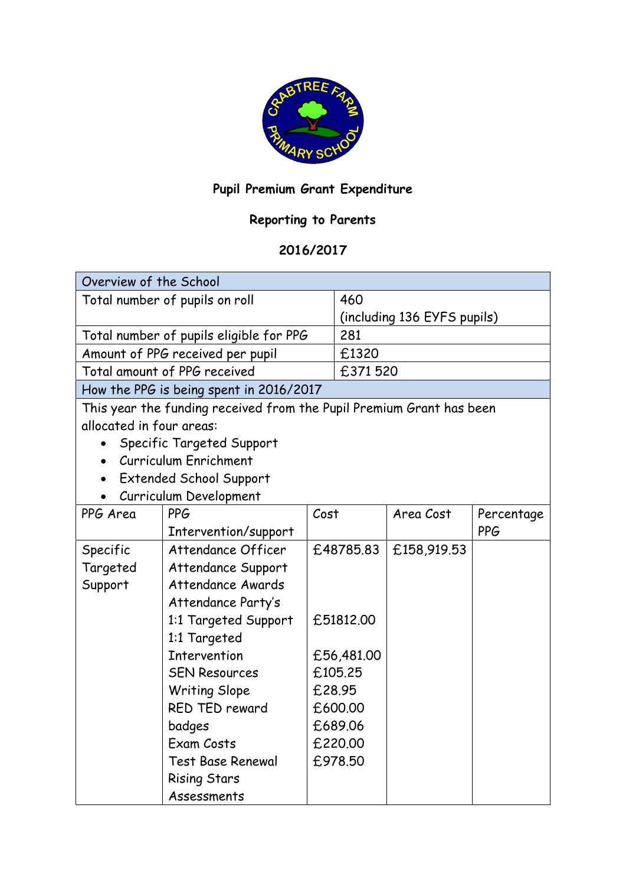

## **Pupil Premium Grant Expenditure**

## **Reporting to Parents**

## **2016/2017**

| Overview of the School                  |                                                                      |           |                             |             |            |  |
|-----------------------------------------|----------------------------------------------------------------------|-----------|-----------------------------|-------------|------------|--|
| Total number of pupils on roll          |                                                                      | 460       |                             |             |            |  |
|                                         |                                                                      |           | (including 136 EYFS pupils) |             |            |  |
|                                         | Total number of pupils eligible for PPG                              |           | 281                         |             |            |  |
| Amount of PPG received per pupil        |                                                                      | £1320     |                             |             |            |  |
| Total amount of PPG received            |                                                                      |           | £371520                     |             |            |  |
| How the PPG is being spent in 2016/2017 |                                                                      |           |                             |             |            |  |
|                                         | This year the funding received from the Pupil Premium Grant has been |           |                             |             |            |  |
| allocated in four areas:                |                                                                      |           |                             |             |            |  |
|                                         | Specific Targeted Support                                            |           |                             |             |            |  |
|                                         | Curriculum Enrichment                                                |           |                             |             |            |  |
|                                         | <b>Extended School Support</b>                                       |           |                             |             |            |  |
|                                         | Curriculum Development                                               |           |                             |             |            |  |
| PPG Area                                | <b>PPG</b>                                                           | Cost      |                             | Area Cost   | Percentage |  |
|                                         | Intervention/support                                                 |           |                             |             | <b>PPG</b> |  |
| Specific                                | Attendance Officer                                                   |           | £48785.83                   | £158,919.53 |            |  |
| Targeted                                | Attendance Support                                                   |           |                             |             |            |  |
| Support                                 | Attendance Awards                                                    |           |                             |             |            |  |
|                                         | Attendance Party's                                                   |           |                             |             |            |  |
|                                         | 1:1 Targeted Support                                                 | £51812.00 |                             |             |            |  |
|                                         | 1:1 Targeted                                                         |           |                             |             |            |  |
|                                         | <b>Intervention</b>                                                  |           | £56,481.00                  |             |            |  |
|                                         | <b>SEN Resources</b>                                                 |           | £105.25                     |             |            |  |
|                                         | <b>Writing Slope</b>                                                 |           | £28.95                      |             |            |  |
|                                         | RED TED reward                                                       |           | £600.00                     |             |            |  |
|                                         | badges                                                               |           | £689.06                     |             |            |  |
|                                         | Exam Costs                                                           |           | £220.00                     |             |            |  |
|                                         | <b>Test Base Renewal</b>                                             |           | £978.50                     |             |            |  |
|                                         | <b>Rising Stars</b>                                                  |           |                             |             |            |  |
|                                         | Assessments                                                          |           |                             |             |            |  |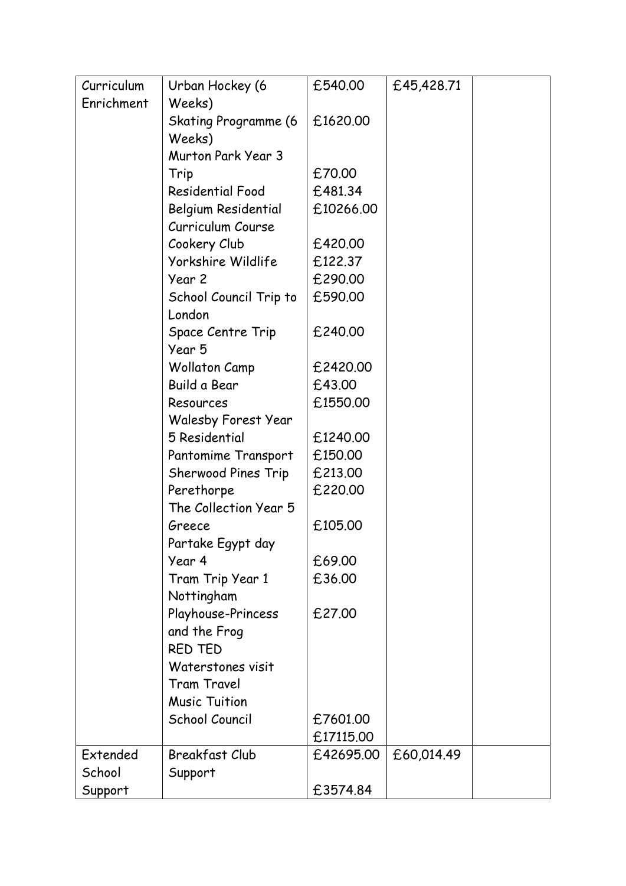| Curriculum | Urban Hockey (6             | £540.00   | £45,428.71 |  |
|------------|-----------------------------|-----------|------------|--|
| Enrichment | Weeks)                      |           |            |  |
|            | <b>Skating Programme (6</b> | £1620.00  |            |  |
|            | Weeks)                      |           |            |  |
|            | Murton Park Year 3          |           |            |  |
|            | Trip                        | £70.00    |            |  |
|            | <b>Residential Food</b>     | £481.34   |            |  |
|            | Belgium Residential         | £10266.00 |            |  |
|            | Curriculum Course           |           |            |  |
|            | Cookery Club                | £420.00   |            |  |
|            | Yorkshire Wildlife          | £122.37   |            |  |
|            | Year 2                      | £290.00   |            |  |
|            | School Council Trip to      | £590.00   |            |  |
|            | London                      |           |            |  |
|            | Space Centre Trip           | £240.00   |            |  |
|            | Year 5                      |           |            |  |
|            | <b>Wollaton Camp</b>        | £2420.00  |            |  |
|            | Build a Bear                | £43.00    |            |  |
|            | Resources                   | £1550.00  |            |  |
|            | <b>Walesby Forest Year</b>  |           |            |  |
|            | 5 Residential               | £1240.00  |            |  |
|            | Pantomime Transport         | £150.00   |            |  |
|            | Sherwood Pines Trip         | £213.00   |            |  |
|            | Perethorpe                  | £220.00   |            |  |
|            | The Collection Year 5       |           |            |  |
|            | Greece                      | £105.00   |            |  |
|            | Partake Egypt day           |           |            |  |
|            | Year 4                      | £69.00    |            |  |
|            | Tram Trip Year 1            | £36.00    |            |  |
|            | Nottingham                  |           |            |  |
|            | Playhouse-Princess          | £27.00    |            |  |
|            | and the Frog                |           |            |  |
|            | RED TED                     |           |            |  |
|            | Waterstones visit           |           |            |  |
|            | <b>Tram Travel</b>          |           |            |  |
|            | <b>Music Tuition</b>        |           |            |  |
|            | School Council              | £7601.00  |            |  |
|            |                             | £17115.00 |            |  |
| Extended   | <b>Breakfast Club</b>       | £42695.00 | £60,014.49 |  |
| School     | Support                     |           |            |  |
| Support    |                             | £3574.84  |            |  |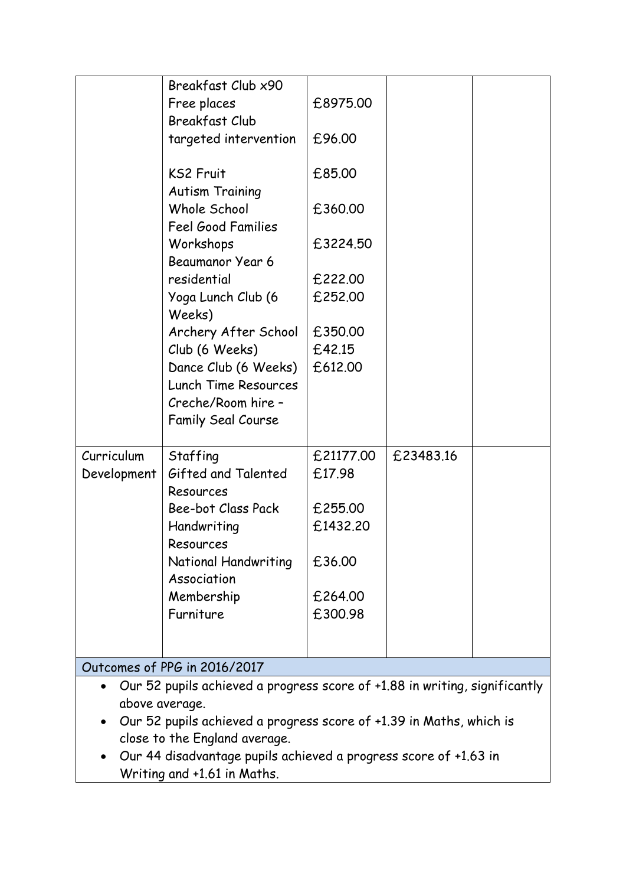|                                                                                         | Breakfast Club x90                         |           |           |  |  |  |  |
|-----------------------------------------------------------------------------------------|--------------------------------------------|-----------|-----------|--|--|--|--|
|                                                                                         | Free places                                | £8975.00  |           |  |  |  |  |
|                                                                                         | <b>Breakfast Club</b>                      |           |           |  |  |  |  |
|                                                                                         | targeted intervention                      | £96.00    |           |  |  |  |  |
|                                                                                         |                                            |           |           |  |  |  |  |
|                                                                                         | <b>KS2 Fruit</b>                           | £85.00    |           |  |  |  |  |
|                                                                                         | <b>Autism Training</b>                     |           |           |  |  |  |  |
|                                                                                         | Whole School                               | £360.00   |           |  |  |  |  |
|                                                                                         | Feel Good Families                         |           |           |  |  |  |  |
|                                                                                         | Workshops                                  | £3224.50  |           |  |  |  |  |
|                                                                                         | Beaumanor Year 6                           |           |           |  |  |  |  |
|                                                                                         | residential                                | £222.00   |           |  |  |  |  |
|                                                                                         | Yoga Lunch Club (6                         | £252.00   |           |  |  |  |  |
|                                                                                         | Weeks)                                     |           |           |  |  |  |  |
|                                                                                         | Archery After School                       | £350.00   |           |  |  |  |  |
|                                                                                         | Club (6 Weeks)                             | £42.15    |           |  |  |  |  |
|                                                                                         | Dance Club (6 Weeks)                       | £612.00   |           |  |  |  |  |
|                                                                                         | Lunch Time Resources<br>Creche/Room hire - |           |           |  |  |  |  |
|                                                                                         |                                            |           |           |  |  |  |  |
|                                                                                         | <b>Family Seal Course</b>                  |           |           |  |  |  |  |
| Curriculum                                                                              | Staffing                                   | £21177.00 | £23483.16 |  |  |  |  |
| Development                                                                             | Gifted and Talented                        | £17.98    |           |  |  |  |  |
|                                                                                         | Resources                                  |           |           |  |  |  |  |
|                                                                                         | Bee-bot Class Pack                         | £255.00   |           |  |  |  |  |
|                                                                                         | Handwriting                                | £1432.20  |           |  |  |  |  |
|                                                                                         | Resources                                  |           |           |  |  |  |  |
|                                                                                         | National Handwriting                       | £36.00    |           |  |  |  |  |
|                                                                                         | Association                                |           |           |  |  |  |  |
|                                                                                         | Membership                                 | £264.00   |           |  |  |  |  |
|                                                                                         | Furniture                                  | £300.98   |           |  |  |  |  |
|                                                                                         |                                            |           |           |  |  |  |  |
|                                                                                         |                                            |           |           |  |  |  |  |
| Outcomes of PPG in 2016/2017                                                            |                                            |           |           |  |  |  |  |
| Our 52 pupils achieved a progress score of +1.88 in writing, significantly<br>$\bullet$ |                                            |           |           |  |  |  |  |
| above average.                                                                          |                                            |           |           |  |  |  |  |
| Our 52 pupils achieved a progress score of +1.39 in Maths, which is                     |                                            |           |           |  |  |  |  |
| close to the England average.                                                           |                                            |           |           |  |  |  |  |

 Our 44 disadvantage pupils achieved a progress score of +1.63 in Writing and +1.61 in Maths.